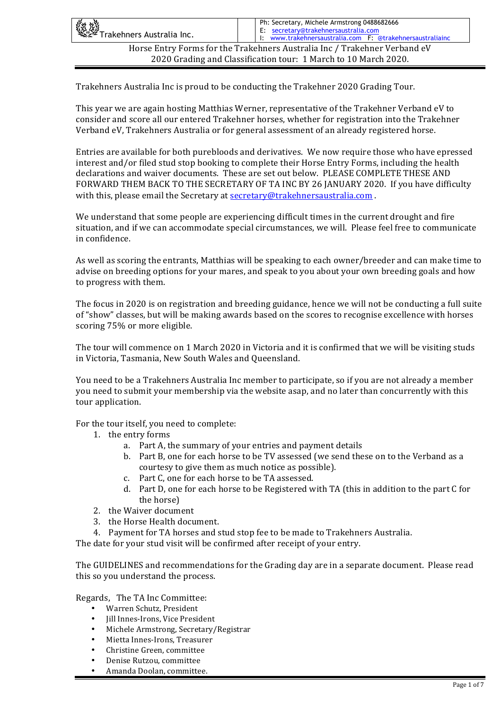| 《红燈<br>《经》Trakehners Australia Inc.                                       | Ph: Secretary, Michele Armstrong 0488682666<br>E: secretary@trakehnersaustralia.com<br>I: www.trakehnersaustralia.com F: @trakehnersaustraliainc |  |  |
|---------------------------------------------------------------------------|--------------------------------------------------------------------------------------------------------------------------------------------------|--|--|
| Horse Entry Forms for the Trakehners Australia Inc / Trakehner Verband eV |                                                                                                                                                  |  |  |
| 2020 Grading and Classification tour: 1 March to 10 March 2020.           |                                                                                                                                                  |  |  |

Trakehners Australia Inc is proud to be conducting the Trakehner 2020 Grading Tour.

This year we are again hosting Matthias Werner, representative of the Trakehner Verband eV to consider and score all our entered Trakehner horses, whether for registration into the Trakehner Verband eV, Trakehners Australia or for general assessment of an already registered horse.

Entries are available for both purebloods and derivatives. We now require those who have epressed interest and/or filed stud stop booking to complete their Horse Entry Forms, including the health declarations and waiver documents. These are set out below. PLEASE COMPLETE THESE AND FORWARD THEM BACK TO THE SECRETARY OF TA INC BY 26 IANUARY 2020. If you have difficulty with this, please email the Secretary at secretary@trakehnersaustralia.com .

We understand that some people are experiencing difficult times in the current drought and fire situation, and if we can accommodate special circumstances, we will. Please feel free to communicate in confidence.

As well as scoring the entrants, Matthias will be speaking to each owner/breeder and can make time to advise on breeding options for your mares, and speak to you about your own breeding goals and how to progress with them.

The focus in 2020 is on registration and breeding guidance, hence we will not be conducting a full suite of "show" classes, but will be making awards based on the scores to recognise excellence with horses scoring 75% or more eligible.

The tour will commence on 1 March 2020 in Victoria and it is confirmed that we will be visiting studs in Victoria, Tasmania, New South Wales and Queensland.

You need to be a Trakehners Australia Inc member to participate, so if you are not already a member you need to submit your membership via the website asap, and no later than concurrently with this tour application.

For the tour itself, you need to complete:

- 1. the entry forms
	- a. Part A, the summary of your entries and payment details
	- b. Part B, one for each horse to be TV assessed (we send these on to the Verband as a courtesy to give them as much notice as possible).
	- c. Part C, one for each horse to be TA assessed.
	- d. Part D, one for each horse to be Registered with TA (this in addition to the part C for the horse)
- 2. the Waiver document
- 3. the Horse Health document.
- 4. Payment for TA horses and stud stop fee to be made to Trakehners Australia.

The date for your stud visit will be confirmed after receipt of your entry.

The GUIDELINES and recommendations for the Grading day are in a separate document. Please read this so you understand the process.

Regards, The TA Inc Committee:

- Warren Schutz, President
- Jill Innes-Irons, Vice President
- Michele Armstrong, Secretary/Registrar
- Mietta Innes-Irons, Treasurer
- Christine Green, committee
- Denise Rutzou, committee
- Amanda Doolan, committee.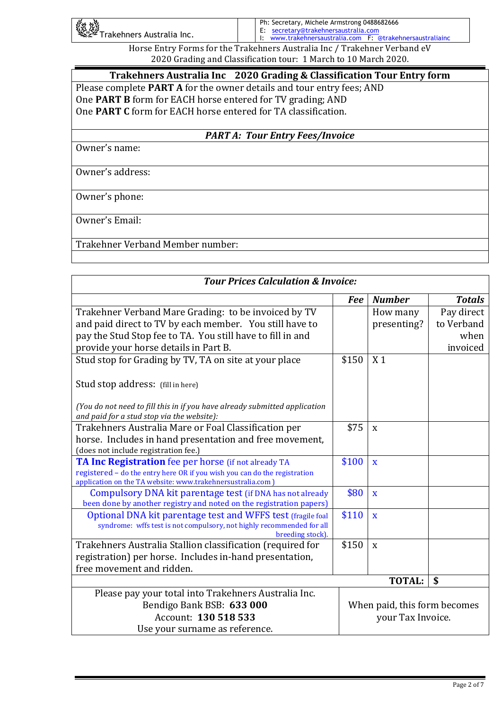| ॑॑॑॑॑॑ॣॕॣॳॱ<br>॓ऀ <sup>ॶ</sup> ॕॣ <sup>ॶ</sup> ॱTrakehners Australia Inc. |  | Ph: Secretary, Michele Armstrong 0488682666               |  |  |
|---------------------------------------------------------------------------|--|-----------------------------------------------------------|--|--|
|                                                                           |  | E: secretary@trakehnersaustralia.com                      |  |  |
|                                                                           |  | I: www.trakehnersaustralia.com F: @trakehnersaustraliainc |  |  |
|                                                                           |  |                                                           |  |  |

Horse Entry Forms for the Trakehners Australia Inc / Trakehner Verband eV 2020 Grading and Classification tour: 1 March to 10 March 2020.

**Trakehners Australia Inc 2020 Grading & Classification Tour Entry form** Please complete **PART A** for the owner details and tour entry fees; AND One **PART B** form for EACH horse entered for TV grading; AND One **PART C** form for EACH horse entered for TA classification.

*PARTA: Tour Entry Fees/Invoice* 

Owner's name:

Owner's address:

Owner's phone:

Owner's Email:

Trakehner Verband Member number:

| <b>Tour Prices Calculation &amp; Invoice:</b>                                             |            |                              |               |  |
|-------------------------------------------------------------------------------------------|------------|------------------------------|---------------|--|
|                                                                                           | <b>Fee</b> | <b>Number</b>                | <b>Totals</b> |  |
| Trakehner Verband Mare Grading: to be invoiced by TV                                      |            | How many                     | Pay direct    |  |
| and paid direct to TV by each member. You still have to                                   |            | presenting?                  | to Verband    |  |
| pay the Stud Stop fee to TA. You still have to fill in and                                |            |                              | when          |  |
| provide your horse details in Part B.                                                     |            |                              | invoiced      |  |
| Stud stop for Grading by TV, TA on site at your place                                     | \$150      | X <sub>1</sub>               |               |  |
|                                                                                           |            |                              |               |  |
| Stud stop address: (fill in here)                                                         |            |                              |               |  |
|                                                                                           |            |                              |               |  |
| (You do not need to fill this in if you have already submitted application                |            |                              |               |  |
| and paid for a stud stop via the website):                                                |            |                              |               |  |
| Trakehners Australia Mare or Foal Classification per                                      | \$75       | X                            |               |  |
| horse. Includes in hand presentation and free movement,                                   |            |                              |               |  |
| (does not include registration fee.)                                                      |            |                              |               |  |
| TA Inc Registration fee per horse (if not already TA                                      | \$100      | X                            |               |  |
| registered - do the entry here OR if you wish you can do the registration                 |            |                              |               |  |
| application on the TA website: www.trakehnersustralia.com ]                               |            |                              |               |  |
| Compulsory DNA kit parentage test (if DNA has not already                                 | \$80       | $\mathbf X$                  |               |  |
| been done by another registry and noted on the registration papers)                       |            |                              |               |  |
| Optional DNA kit parentage test and WFFS test (fragile foal                               | \$110      | X                            |               |  |
| syndrome: wffs test is not compulsory, not highly recommended for all<br>breeding stock). |            |                              |               |  |
| Trakehners Australia Stallion classification (required for                                | \$150      | $\mathbf X$                  |               |  |
| registration) per horse. Includes in-hand presentation,                                   |            |                              |               |  |
| free movement and ridden.                                                                 |            |                              |               |  |
|                                                                                           |            | <b>TOTAL:</b>                | \$            |  |
|                                                                                           |            |                              |               |  |
| Please pay your total into Trakehners Australia Inc.                                      |            |                              |               |  |
| Bendigo Bank BSB: 633 000                                                                 |            | When paid, this form becomes |               |  |
| Account: 130 518 533                                                                      |            | your Tax Invoice.            |               |  |
| Use your surname as reference.                                                            |            |                              |               |  |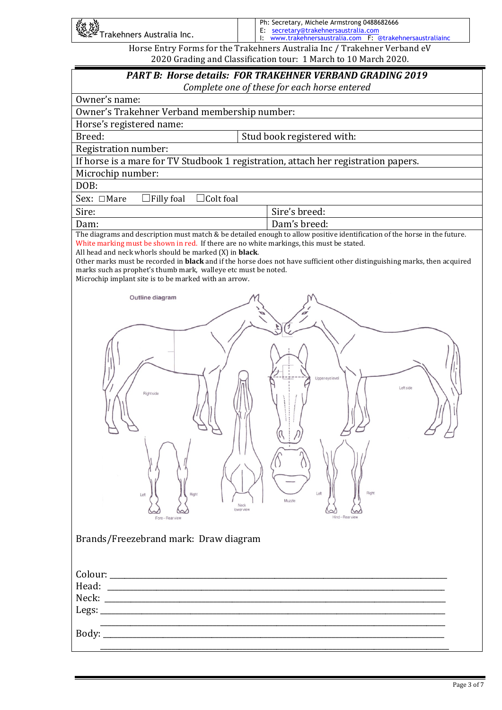| 「《姓<br>《姓》<br>《学》Trakehners Australia Inc.                                | Ph: Secretary, Michele Armstrong 0488682666<br>E: secretary@trakehnersaustralia.com<br>I: www.trakehnersaustralia.com F: @trakehnersaustraliainc |  |  |
|---------------------------------------------------------------------------|--------------------------------------------------------------------------------------------------------------------------------------------------|--|--|
| Horse Entry Forms for the Trakehners Australia Inc / Trakehner Verband eV |                                                                                                                                                  |  |  |

|                                                                                                                                                                                            | <b>PART B: Horse details: FOR TRAKEHNER VERBAND GRADING 2019</b><br>Complete one of these for each horse entered                 |
|--------------------------------------------------------------------------------------------------------------------------------------------------------------------------------------------|----------------------------------------------------------------------------------------------------------------------------------|
| Owner's name:                                                                                                                                                                              |                                                                                                                                  |
| Owner's Trakehner Verband membership number:                                                                                                                                               |                                                                                                                                  |
| Horse's registered name:                                                                                                                                                                   |                                                                                                                                  |
| Breed:                                                                                                                                                                                     | Stud book registered with:                                                                                                       |
| Registration number:                                                                                                                                                                       |                                                                                                                                  |
| If horse is a mare for TV Studbook 1 registration, attach her registration papers.                                                                                                         |                                                                                                                                  |
| Microchip number:                                                                                                                                                                          |                                                                                                                                  |
| DOB:                                                                                                                                                                                       |                                                                                                                                  |
| Sex: □Mare<br>$\Box$ Filly foal<br>Colt foal                                                                                                                                               |                                                                                                                                  |
| Sire:                                                                                                                                                                                      | Sire's breed:                                                                                                                    |
| Dam:<br>The diagrams and description must match & be detailed enough to allow positive identification of the ho                                                                            | Dam's breed:<br>WARMBLOOD HO                                                                                                     |
| All head and neck whorls should be marked (X) in <b>black</b> .<br>marks such as prophet's thumb mark, walleye etc must be noted.<br>Microchip implant site is to be marked with an arrow. | Other marks must be recorded in <b>black</b> and if the horse does not have sufficient other distinguishing marks, then acquired |
| Outline diagram                                                                                                                                                                            |                                                                                                                                  |
|                                                                                                                                                                                            |                                                                                                                                  |
|                                                                                                                                                                                            |                                                                                                                                  |
| Right side<br>Left<br>Right<br>Neck<br>lowerview<br>Fore-Rearview                                                                                                                          | Upper eye level<br>Left side<br>Right<br>Left<br>Muzzle<br>Hind-Rearview                                                         |
| <b>Brand</b><br>Outline diagram                                                                                                                                                            |                                                                                                                                  |
| Colou<br>Head:<br>Neck:<br>Legs:<br>Body:<br>Right side                                                                                                                                    | Upper eye level<br>Left side                                                                                                     |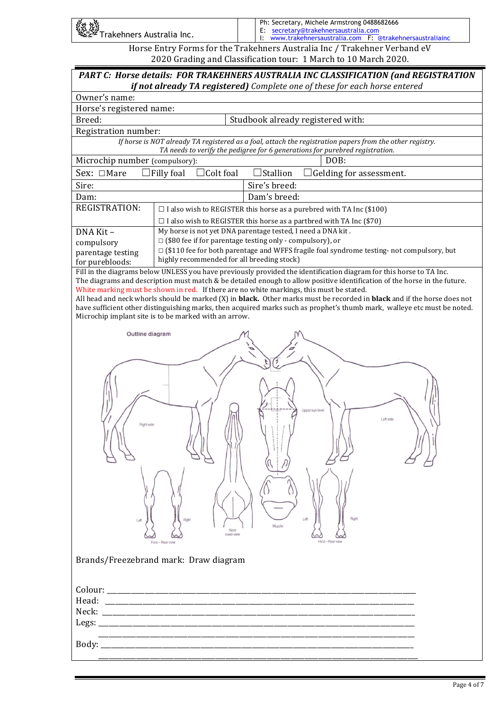| 《红燈》<br>《经》Trakehners Australia Inc. | Ph: Secretary, Michele Armstrong 0488682666<br>E: secretary@trakehnersaustralia.com<br>I: www.trakehnersaustralia.com F: @trakehnersaustraliainc |
|--------------------------------------|--------------------------------------------------------------------------------------------------------------------------------------------------|
|                                      | Horse Entry Forms for the Trakehners Australia Inc / Trakehner Verband eV                                                                        |

2020 Grading and Classification tour: 1 March to 10 March 2020.

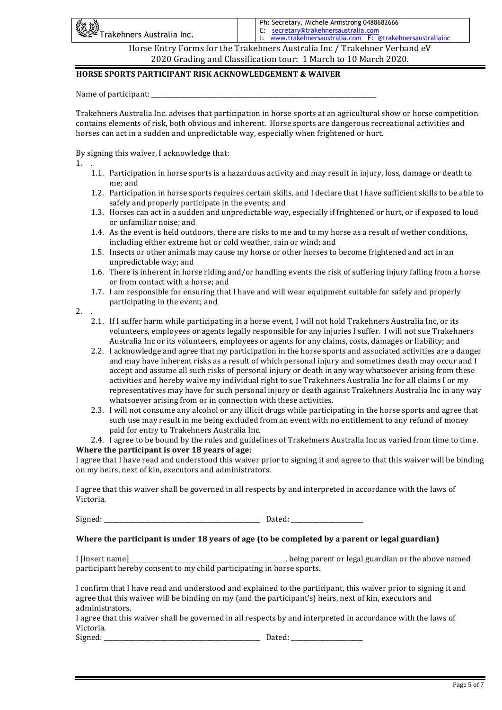| 、<br>《社談<br>《楽》Trakehners Australia Inc.                                  | Ph: Secretary, Michele Armstrong 0488682666<br>E: secretary@trakehnersaustralia.com<br>I: www.trakehnersaustralia.com F: @trakehnersaustraliainc |  |
|---------------------------------------------------------------------------|--------------------------------------------------------------------------------------------------------------------------------------------------|--|
| Horse Entry Forms for the Trakehners Australia Inc / Trakehner Verband eV |                                                                                                                                                  |  |

2020 Grading and Classification tour: 1 March to 10 March 2020.

## **HORSE SPORTS PARTICIPANT RISK ACKNOWLEDGEMENT & WAIVER**

Name of participant:

Trakehners Australia Inc. advises that participation in horse sports at an agricultural show or horse competition contains elements of risk, both obvious and inherent. Horse sports are dangerous recreational activities and horses can act in a sudden and unpredictable way, especially when frightened or hurt.

By signing this waiver, I acknowledge that:

1. .

- 1.1. Participation in horse sports is a hazardous activity and may result in injury, loss, damage or death to me: and
- 1.2. Participation in horse sports requires certain skills, and I declare that I have sufficient skills to be able to safely and properly participate in the events; and
- 1.3. Horses can act in a sudden and unpredictable way, especially if frightened or hurt, or if exposed to loud or unfamiliar noise; and
- 1.4. As the event is held outdoors, there are risks to me and to my horse as a result of wether conditions, including either extreme hot or cold weather, rain or wind; and
- 1.5. Insects or other animals may cause my horse or other horses to become frightened and act in an unpredictable way; and
- 1.6. There is inherent in horse riding and/or handling events the risk of suffering injury falling from a horse or from contact with a horse; and
- 1.7. I am responsible for ensuring that I have and will wear equipment suitable for safely and properly participating in the event; and

2. .

- 2.1. If I suffer harm while participating in a horse event, I will not hold Trakehners Australia Inc, or its volunteers, employees or agents legally responsible for any injuries I suffer. I will not sue Trakehners Australia Inc or its volunteers, employees or agents for any claims, costs, damages or liability; and
- 2.2. I acknowledge and agree that my participation in the horse sports and associated activities are a danger and may have inherent risks as a result of which personal injury and sometimes death may occur and I accept and assume all such risks of personal injury or death in any way whatsoever arising from these activities and hereby waive my individual right to sue Trakehners Australia Inc for all claims I or my representatives may have for such personal injury or death against Trakehners Australia Inc in any way whatsoever arising from or in connection with these activities.
- 2.3. I will not consume any alcohol or any illicit drugs while participating in the horse sports and agree that such use may result in me being excluded from an event with no entitlement to any refund of money paid for entry to Trakehners Australia Inc.
- 2.4. I agree to be bound by the rules and guidelines of Trakehners Australia Inc as varied from time to time. **Where the participant is over 18 years of age:**

I agree that I have read and understood this waiver prior to signing it and agree to that this waiver will be binding on my heirs, next of kin, executors and administrators.

I agree that this waiver shall be governed in all respects by and interpreted in accordance with the laws of Victoria. 

Signed: the state of the state of the state of the Dated:  $\Box$  Dated:  $\Box$ 

#### Where the participant is under 18 years of age (to be completed by a parent or legal guardian)

I [insert name]\_\_\_\_\_\_\_\_\_\_\_\_\_\_\_\_\_\_\_\_\_\_\_\_\_\_\_\_\_\_\_\_\_\_\_\_\_\_\_\_\_\_\_\_\_\_\_\_\_\_, being parent or legal guardian or the above named participant hereby consent to my child participating in horse sports.

I confirm that I have read and understood and explained to the participant, this waiver prior to signing it and agree that this waiver will be binding on my (and the participant's) heirs, next of kin, executors and administrators. 

I agree that this waiver shall be governed in all respects by and interpreted in accordance with the laws of Victoria. 

Signed: \_\_\_\_\_\_\_\_\_\_\_\_\_\_\_\_\_\_\_\_\_\_\_\_\_\_\_\_\_\_\_\_\_\_\_\_\_\_\_\_\_\_\_\_\_\_\_\_\_\_ Dated: \_\_\_\_\_\_\_\_\_\_\_\_\_\_\_\_\_\_\_\_\_\_\_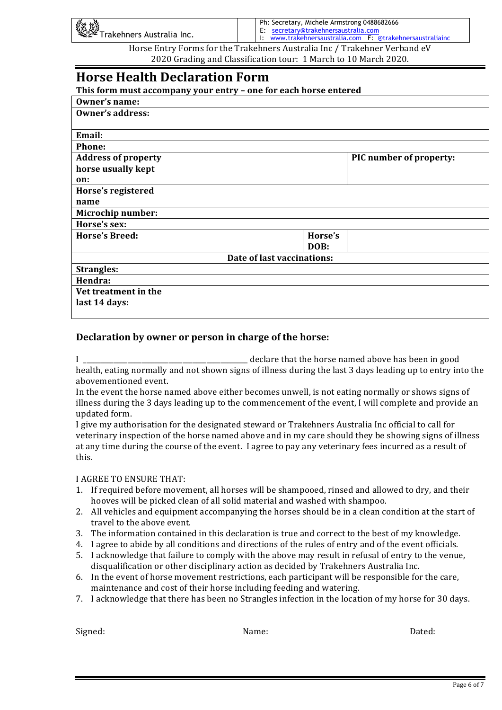| 数燃<br>ZWE<br>* Trakehners Australia Inc. | Ph: Secretary, Michele Armstrong 0488682666<br>E: secretary@trakehnersaustralia.com<br>II: www.trakehnersaustralia.com F: @trakehnersaustraliainc |
|------------------------------------------|---------------------------------------------------------------------------------------------------------------------------------------------------|
|                                          |                                                                                                                                                   |

Horse Entry Forms for the Trakehners Australia Inc / Trakehner Verband eV 2020 Grading and Classification tour: 1 March to 10 March 2020.

# **Horse Health Declaration Form**

**This form must accompany your entry - one for each horse entered** 

| Owner's name:              |                            |         |                         |
|----------------------------|----------------------------|---------|-------------------------|
| Owner's address:           |                            |         |                         |
|                            |                            |         |                         |
| Email:                     |                            |         |                         |
| <b>Phone:</b>              |                            |         |                         |
| <b>Address of property</b> |                            |         | PIC number of property: |
| horse usually kept         |                            |         |                         |
| on:                        |                            |         |                         |
| Horse's registered         |                            |         |                         |
| name                       |                            |         |                         |
| <b>Microchip number:</b>   |                            |         |                         |
| Horse's sex:               |                            |         |                         |
| <b>Horse's Breed:</b>      |                            | Horse's |                         |
|                            |                            | DOB:    |                         |
|                            | Date of last vaccinations: |         |                         |
| <b>Strangles:</b>          |                            |         |                         |
| Hendra:                    |                            |         |                         |
| Vet treatment in the       |                            |         |                         |
| last 14 days:              |                            |         |                         |
|                            |                            |         |                         |

# **Declaration by owner or person in charge of the horse:**

declare that the horse named above has been in good health, eating normally and not shown signs of illness during the last 3 days leading up to entry into the abovementioned event.

In the event the horse named above either becomes unwell, is not eating normally or shows signs of illness during the 3 days leading up to the commencement of the event, I will complete and provide an updated form.

I give my authorisation for the designated steward or Trakehners Australia Inc official to call for veterinary inspection of the horse named above and in my care should they be showing signs of illness at any time during the course of the event. I agree to pay any veterinary fees incurred as a result of this. 

## **I AGREE TO ENSURE THAT:**

- 1. If required before movement, all horses will be shampooed, rinsed and allowed to dry, and their hooves will be picked clean of all solid material and washed with shampoo.
- 2. All vehicles and equipment accompanying the horses should be in a clean condition at the start of travel to the above event.
- 3. The information contained in this declaration is true and correct to the best of my knowledge.
- 4. I agree to abide by all conditions and directions of the rules of entry and of the event officials.
- 5. I acknowledge that failure to comply with the above may result in refusal of entry to the venue, disqualification or other disciplinary action as decided by Trakehners Australia Inc.
- 6. In the event of horse movement restrictions, each participant will be responsible for the care, maintenance and cost of their horse including feeding and watering.
- 7. I acknowledge that there has been no Strangles infection in the location of my horse for 30 days.

Signed: Name: Dated: